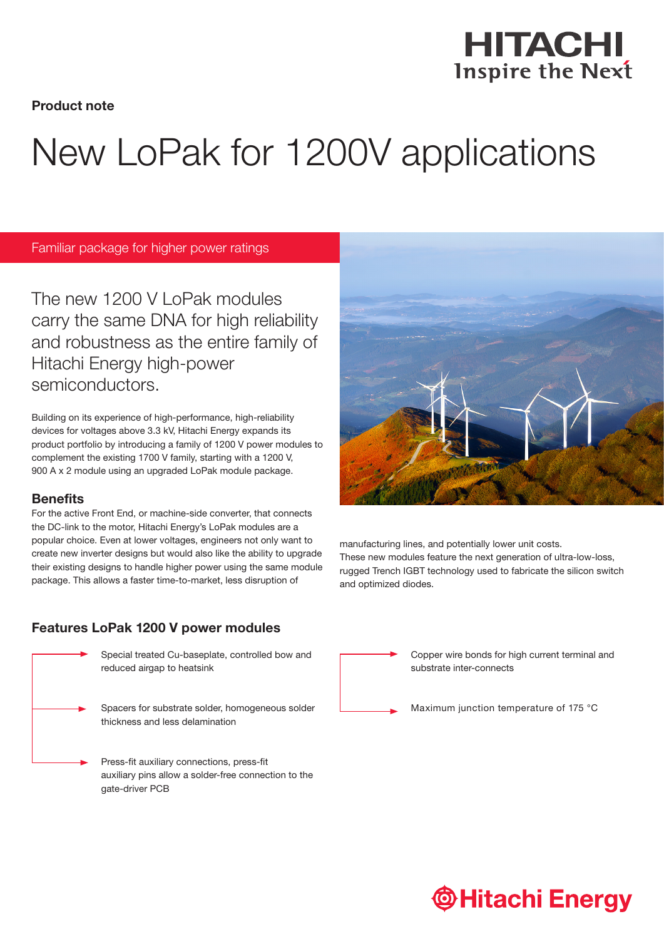HITACHI **Inspire the Next** 

Product note

# New LoPak for 1200V applications

Familiar package for higher power ratings

The new 1200 V LoPak modules carry the same DNA for high reliability and robustness as the entire family of Hitachi Energy high-power semiconductors.

Building on its experience of high-performance, high-reliability devices for voltages above 3.3 kV, Hitachi Energy expands its product portfolio by introducing a family of 1200 V power modules to complement the existing 1700 V family, starting with a 1200 V, 900 A x 2 module using an upgraded LoPak module package.

#### **Benefits**

For the active Front End, or machine-side converter, that connects the DC-link to the motor, Hitachi Energy's LoPak modules are a popular choice. Even at lower voltages, engineers not only want to create new inverter designs but would also like the ability to upgrade their existing designs to handle higher power using the same module package. This allows a faster time-to-market, less disruption of

## Features LoPak 1200 V power modules



Special treated Cu-baseplate, controlled bow and reduced airgap to heatsink



Press-fit auxiliary connections, press-fit auxiliary pins allow a solder-free connection to the gate-driver PCB



manufacturing lines, and potentially lower unit costs. These new modules feature the next generation of ultra-low-loss, rugged Trench IGBT technology used to fabricate the silicon switch and optimized diodes.



Copper wire bonds for high current terminal and substrate inter-connects

Maximum junction temperature of 175 °C